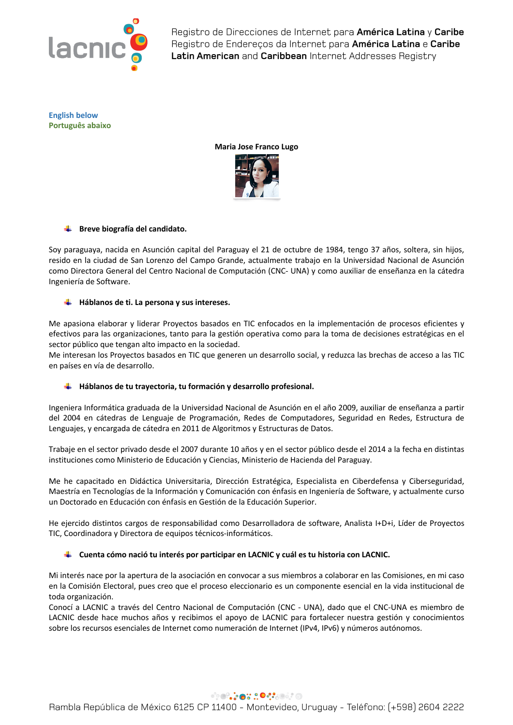

**English below Português abaixo**





# **Breve biografía del candidato.**

Soy paraguaya, nacida en Asunción capital del Paraguay el 21 de octubre de 1984, tengo 37 años, soltera, sin hijos, resido en la ciudad de San Lorenzo del Campo Grande, actualmente trabajo en la Universidad Nacional de Asunción como Directora General del Centro Nacional de Computación (CNC- UNA) y como auxiliar de enseñanza en la cátedra Ingeniería de Software.

# **Háblanos de ti. La persona y sus intereses.**

Me apasiona elaborar y liderar Proyectos basados en TIC enfocados en la implementación de procesos eficientes y efectivos para las organizaciones, tanto para la gestión operativa como para la toma de decisiones estratégicas en el sector público que tengan alto impacto en la sociedad.

Me interesan los Proyectos basados en TIC que generen un desarrollo social, y reduzca las brechas de acceso a las TIC en países en vía de desarrollo.

# **Háblanos de tu trayectoria, tu formación y desarrollo profesional.**

Ingeniera Informática graduada de la Universidad Nacional de Asunción en el año 2009, auxiliar de enseñanza a partir del 2004 en cátedras de Lenguaje de Programación, Redes de Computadores, Seguridad en Redes, Estructura de Lenguajes, y encargada de cátedra en 2011 de Algoritmos y Estructuras de Datos.

Trabaje en el sector privado desde el 2007 durante 10 años y en el sector público desde el 2014 a la fecha en distintas instituciones como Ministerio de Educación y Ciencias, Ministerio de Hacienda del Paraguay.

Me he capacitado en Didáctica Universitaria, Dirección Estratégica, Especialista en Ciberdefensa y Ciberseguridad, Maestría en Tecnologías de la Información y Comunicación con énfasis en Ingeniería de Software, y actualmente curso un Doctorado en Educación con énfasis en Gestión de la Educación Superior.

He ejercido distintos cargos de responsabilidad como Desarrolladora de software, Analista I+D+i, Líder de Proyectos TIC, Coordinadora y Directora de equipos técnicos-informáticos.

# **Cuenta cómo nació tu interés por participar en LACNIC y cuál es tu historia con LACNIC.**

Mi interés nace por la apertura de la asociación en convocar a sus miembros a colaborar en las Comisiones, en mi caso en la Comisión Electoral, pues creo que el proceso eleccionario es un componente esencial en la vida institucional de toda organización.

Conocí a LACNIC a través del Centro Nacional de Computación (CNC - UNA), dado que el CNC-UNA es miembro de LACNIC desde hace muchos años y recibimos el apoyo de LACNIC para fortalecer nuestra gestión y conocimientos sobre los recursos esenciales de Internet como numeración de Internet (IPv4, IPv6) y números autónomos.

# **SOCIACIÓN CONSOLICI**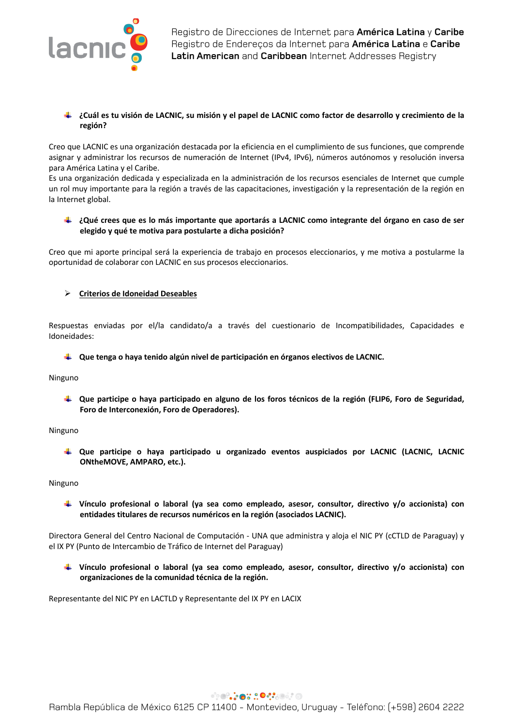

### **¿Cuál es tu visión de LACNIC, su misión y el papel de LACNIC como factor de desarrollo y crecimiento de la región?**

Creo que LACNIC es una organización destacada por la eficiencia en el cumplimiento de sus funciones, que comprende asignar y administrar los recursos de numeración de Internet (IPv4, IPv6), números autónomos y resolución inversa para América Latina y el Caribe.

Es una organización dedicada y especializada en la administración de los recursos esenciales de Internet que cumple un rol muy importante para la región a través de las capacitaciones, investigación y la representación de la región en la Internet global.

### **¿Qué crees que es lo más importante que aportarás a LACNIC como integrante del órgano en caso de ser elegido y qué te motiva para postularte a dicha posición?**

Creo que mi aporte principal será la experiencia de trabajo en procesos eleccionarios, y me motiva a postularme la oportunidad de colaborar con LACNIC en sus procesos eleccionarios.

## Ø **Criterios de Idoneidad Deseables**

Respuestas enviadas por el/la candidato/a a través del cuestionario de Incompatibilidades, Capacidades e Idoneidades:

### **Que tenga o haya tenido algún nivel de participación en órganos electivos de LACNIC.**

Ninguno

**Que participe o haya participado en alguno de los foros técnicos de la región (FLIP6, Foro de Seguridad, Foro de Interconexión, Foro de Operadores).** 

#### Ninguno

**Que participe o haya participado u organizado eventos auspiciados por LACNIC (LACNIC, LACNIC ONtheMOVE, AMPARO, etc.).** 

#### Ninguno

**Vínculo profesional o laboral (ya sea como empleado, asesor, consultor, directivo y/o accionista) con entidades titulares de recursos numéricos en la región (asociados LACNIC).**

Directora General del Centro Nacional de Computación - UNA que administra y aloja el NIC PY (cCTLD de Paraguay) y el IX PY (Punto de Intercambio de Tráfico de Internet del Paraguay)

**Vínculo profesional o laboral (ya sea como empleado, asesor, consultor, directivo y/o accionista) con organizaciones de la comunidad técnica de la región.**

Representante del NIC PY en LACTLD y Representante del IX PY en LACIX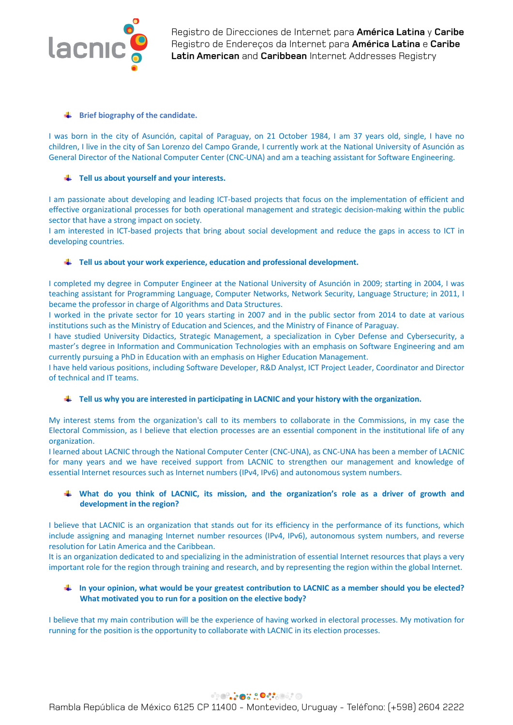

### **EXECUTE:** Brief biography of the candidate.

I was born in the city of Asunción, capital of Paraguay, on 21 October 1984, I am 37 years old, single, I have no children, I live in the city of San Lorenzo del Campo Grande, I currently work at the National University of Asunción as General Director of the National Computer Center (CNC-UNA) and am a teaching assistant for Software Engineering.

## **Tell us about yourself and your interests.**

I am passionate about developing and leading ICT-based projects that focus on the implementation of efficient and effective organizational processes for both operational management and strategic decision-making within the public sector that have a strong impact on society.

I am interested in ICT-based projects that bring about social development and reduce the gaps in access to ICT in developing countries.

## **Tell us about your work experience, education and professional development.**

I completed my degree in Computer Engineer at the National University of Asunción in 2009; starting in 2004, I was teaching assistant for Programming Language, Computer Networks, Network Security, Language Structure; in 2011, I became the professor in charge of Algorithms and Data Structures.

I worked in the private sector for 10 years starting in 2007 and in the public sector from 2014 to date at various institutions such as the Ministry of Education and Sciences, and the Ministry of Finance of Paraguay.

I have studied University Didactics, Strategic Management, a specialization in Cyber Defense and Cybersecurity, a master's degree in Information and Communication Technologies with an emphasis on Software Engineering and am currently pursuing a PhD in Education with an emphasis on Higher Education Management.

I have held various positions, including Software Developer, R&D Analyst, ICT Project Leader, Coordinator and Director of technical and IT teams.

### **Tell us why you are interested in participating in LACNIC and your history with the organization.**

My interest stems from the organization's call to its members to collaborate in the Commissions, in my case the Electoral Commission, as I believe that election processes are an essential component in the institutional life of any organization.

I learned about LACNIC through the National Computer Center (CNC-UNA), as CNC-UNA has been a member of LACNIC for many years and we have received support from LACNIC to strengthen our management and knowledge of essential Internet resources such as Internet numbers (IPv4, IPv6) and autonomous system numbers.

## **What do you think of LACNIC, its mission, and the organization's role as a driver of growth and development in the region?**

I believe that LACNIC is an organization that stands out for its efficiency in the performance of its functions, which include assigning and managing Internet number resources (IPv4, IPv6), autonomous system numbers, and reverse resolution for Latin America and the Caribbean.

It is an organization dedicated to and specializing in the administration of essential Internet resources that plays a very important role for the region through training and research, and by representing the region within the global Internet.

## **In your opinion, what would be your greatest contribution to LACNIC as a member should you be elected? What motivated you to run for a position on the elective body?**

I believe that my main contribution will be the experience of having worked in electoral processes. My motivation for running for the position is the opportunity to collaborate with LACNIC in its election processes.

# **SOCIACIÓN CONSOLIDA**

Rambla República de México 6125 CP 11400 - Montevideo, Uruguay - Teléfono: (+598) 2604 2222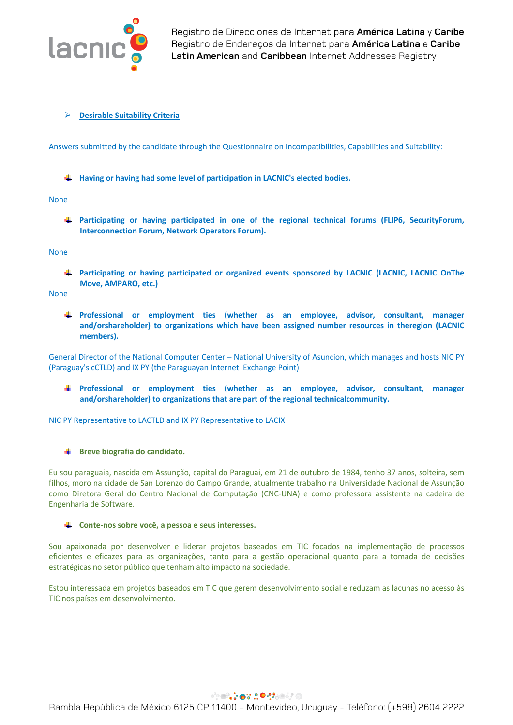

### Ø **Desirable Suitability Criteria**

Answers submitted by the candidate through the Questionnaire on Incompatibilities, Capabilities and Suitability:

**Having or having had some level of participation in LACNIC's elected bodies.**

#### None

**Participating or having participated in one of the regional technical forums (FLIP6, SecurityForum, Interconnection Forum, Network Operators Forum).**

#### None

**Participating or having participated or organized events sponsored by LACNIC (LACNIC, LACNIC OnThe Move, AMPARO, etc.)**

None

**Professional or employment ties (whether as an employee, advisor, consultant, manager and/orshareholder) to organizations which have been assigned number resources in theregion (LACNIC members).**

General Director of the National Computer Center – National University of Asuncion, which manages and hosts NIC PY (Paraguay's cCTLD) and IX PY (the Paraguayan Internet Exchange Point)

**Professional or employment ties (whether as an employee, advisor, consultant, manager and/orshareholder) to organizations that are part of the regional technicalcommunity.**

NIC PY Representative to LACTLD and IX PY Representative to LACIX

### **EXECUTE:** Breve biografia do candidato.

Eu sou paraguaia, nascida em Assunção, capital do Paraguai, em 21 de outubro de 1984, tenho 37 anos, solteira, sem filhos, moro na cidade de San Lorenzo do Campo Grande, atualmente trabalho na Universidade Nacional de Assunção como Diretora Geral do Centro Nacional de Computação (CNC-UNA) e como professora assistente na cadeira de Engenharia de Software.

### **Conte-nos sobre você, a pessoa e seus interesses.**

Sou apaixonada por desenvolver e liderar projetos baseados em TIC focados na implementação de processos eficientes e eficazes para as organizações, tanto para a gestão operacional quanto para a tomada de decisões estratégicas no setor público que tenham alto impacto na sociedade.

Estou interessada em projetos baseados em TIC que gerem desenvolvimento social e reduzam as lacunas no acesso às TIC nos países em desenvolvimento.

# **PORTO DO CONTO**

Rambla República de México 6125 CP 11400 - Montevideo, Uruguay - Teléfono: (+598) 2604 2222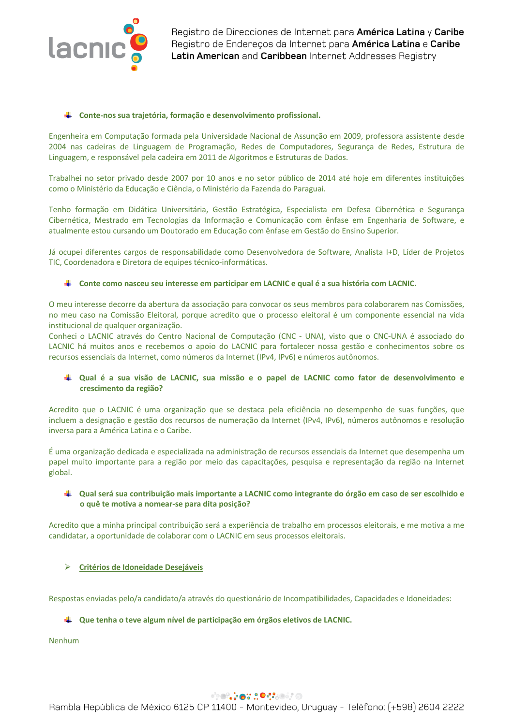

#### **Conte-nos sua trajetória, formação e desenvolvimento profissional.**

Engenheira em Computação formada pela Universidade Nacional de Assunção em 2009, professora assistente desde 2004 nas cadeiras de Linguagem de Programação, Redes de Computadores, Segurança de Redes, Estrutura de Linguagem, e responsável pela cadeira em 2011 de Algoritmos e Estruturas de Dados.

Trabalhei no setor privado desde 2007 por 10 anos e no setor público de 2014 até hoje em diferentes instituições como o Ministério da Educação e Ciência, o Ministério da Fazenda do Paraguai.

Tenho formação em Didática Universitária, Gestão Estratégica, Especialista em Defesa Cibernética e Segurança Cibernética, Mestrado em Tecnologias da Informação e Comunicação com ênfase em Engenharia de Software, e atualmente estou cursando um Doutorado em Educação com ênfase em Gestão do Ensino Superior.

Já ocupei diferentes cargos de responsabilidade como Desenvolvedora de Software, Analista I+D, Líder de Projetos TIC, Coordenadora e Diretora de equipes técnico-informáticas.

### **Conte como nasceu seu interesse em participar em LACNIC e qual é a sua história com LACNIC.**

O meu interesse decorre da abertura da associação para convocar os seus membros para colaborarem nas Comissões, no meu caso na Comissão Eleitoral, porque acredito que o processo eleitoral é um componente essencial na vida institucional de qualquer organização.

Conheci o LACNIC através do Centro Nacional de Computação (CNC - UNA), visto que o CNC-UNA é associado do LACNIC há muitos anos e recebemos o apoio do LACNIC para fortalecer nossa gestão e conhecimentos sobre os recursos essenciais da Internet, como números da Internet (IPv4, IPv6) e números autônomos.

### **Qual é a sua visão de LACNIC, sua missão e o papel de LACNIC como fator de desenvolvimento e crescimento da região?**

Acredito que o LACNIC é uma organização que se destaca pela eficiência no desempenho de suas funções, que incluem a designação e gestão dos recursos de numeração da Internet (IPv4, IPv6), números autônomos e resolução inversa para a América Latina e o Caribe.

É uma organização dedicada e especializada na administração de recursos essenciais da Internet que desempenha um papel muito importante para a região por meio das capacitações, pesquisa e representação da região na Internet global.

### **Qual será sua contribuição mais importante a LACNIC como integrante do órgão em caso de ser escolhido e o quê te motiva a nomear-se para dita posição?**

Acredito que a minha principal contribuição será a experiência de trabalho em processos eleitorais, e me motiva a me candidatar, a oportunidade de colaborar com o LACNIC em seus processos eleitorais.

### Ø **Critérios de Idoneidade Desejáveis**

Respostas enviadas pelo/a candidato/a através do questionário de Incompatibilidades, Capacidades e Idoneidades:

### **Que tenha o teve algum nível de participação em órgãos eletivos de LACNIC.**

Nenhum

# **PORTO DO CONTO**

Rambla República de México 6125 CP 11400 - Montevideo, Uruguay - Teléfono: (+598) 2604 2222